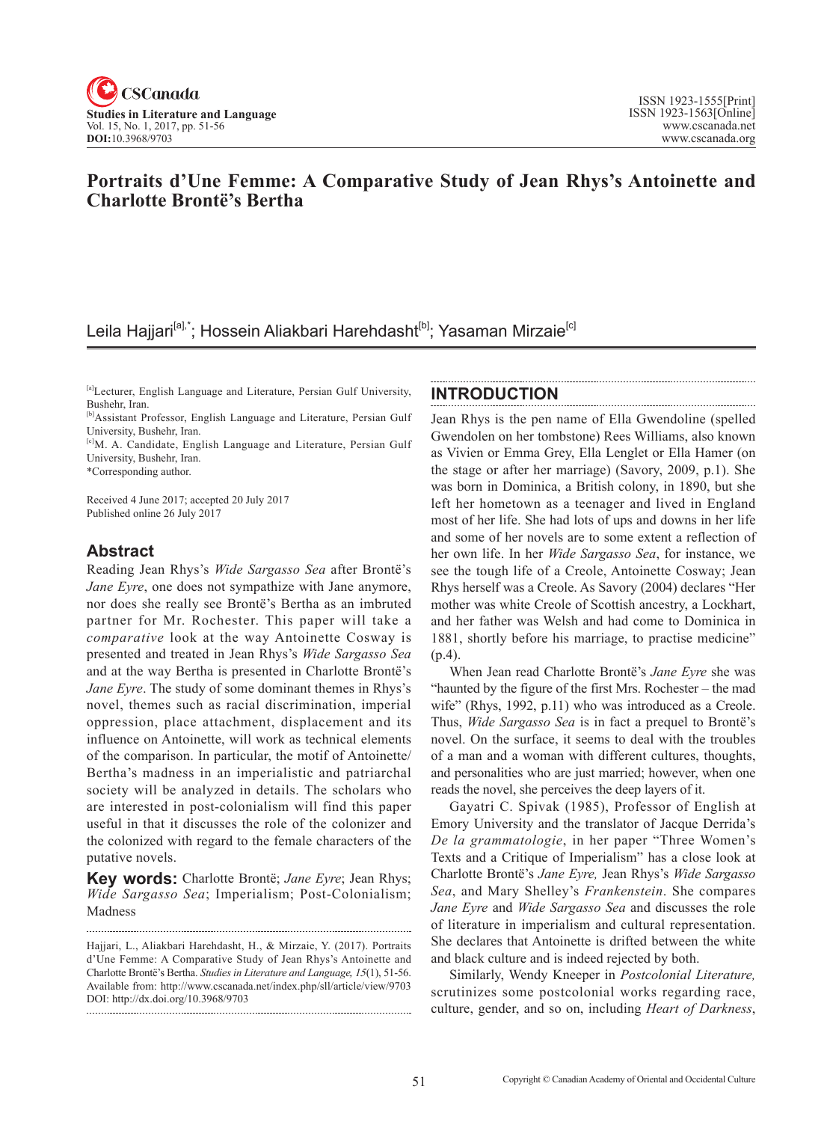

## **Portraits d'Une Femme: A Comparative Study of Jean Rhys's Antoinette and Charlotte Brontë's Bertha**

# Leila Hajjari<sup>[a],\*</sup>; Hossein Aliakbari Harehdasht<sup>[b]</sup>; Yasaman Mirzaie<sup>[c]</sup>

\*Corresponding author.

Received 4 June 2017; accepted 20 July 2017 Published online 26 July 2017

## **Abstract**

Reading Jean Rhys's *Wide Sargasso Sea* after Brontë's *Jane Eyre*, one does not sympathize with Jane anymore, nor does she really see Brontë's Bertha as an imbruted partner for Mr. Rochester. This paper will take a *comparative* look at the way Antoinette Cosway is presented and treated in Jean Rhys's *Wide Sargasso Sea* and at the way Bertha is presented in Charlotte Brontë's *Jane Eyre*. The study of some dominant themes in Rhys's novel, themes such as racial discrimination, imperial oppression, place attachment, displacement and its influence on Antoinette, will work as technical elements of the comparison. In particular, the motif of Antoinette/ Bertha's madness in an imperialistic and patriarchal society will be analyzed in details. The scholars who are interested in post-colonialism will find this paper useful in that it discusses the role of the colonizer and the colonized with regard to the female characters of the putative novels.

**Key words:** Charlotte Brontë; *Jane Eyre*; Jean Rhys; *Wide Sargasso Sea*; Imperialism; Post-Colonialism; Madness

## **INTRODUCTION**

Jean Rhys is the pen name of Ella Gwendoline (spelled Gwendolen on her tombstone) Rees Williams, also known as Vivien or Emma Grey, Ella Lenglet or Ella Hamer (on the stage or after her marriage) (Savory, 2009, p.1). She was born in Dominica, a British colony, in 1890, but she left her hometown as a teenager and lived in England most of her life. She had lots of ups and downs in her life and some of her novels are to some extent a reflection of her own life. In her *Wide Sargasso Sea*, for instance, we see the tough life of a Creole, Antoinette Cosway; Jean Rhys herself was a Creole. As Savory (2004) declares "Her mother was white Creole of Scottish ancestry, a Lockhart, and her father was Welsh and had come to Dominica in 1881, shortly before his marriage, to practise medicine" (p.4).

When Jean read Charlotte Brontë's *Jane Eyre* she was "haunted by the figure of the first Mrs. Rochester – the mad wife" (Rhys, 1992, p.11) who was introduced as a Creole. Thus, *Wide Sargasso Sea* is in fact a prequel to Brontë's novel. On the surface, it seems to deal with the troubles of a man and a woman with different cultures, thoughts, and personalities who are just married; however, when one reads the novel, she perceives the deep layers of it.

Gayatri C. Spivak (1985), Professor of English at Emory University and the translator of Jacque Derrida's *De la grammatologie*, in her paper "Three Women's Texts and a Critique of Imperialism" has a close look at Charlotte Brontë's *Jane Eyre,* Jean Rhys's *Wide Sargasso Sea*, and Mary Shelley's *Frankenstein*. She compares *Jane Eyre* and *Wide Sargasso Sea* and discusses the role of literature in imperialism and cultural representation. She declares that Antoinette is drifted between the white and black culture and is indeed rejected by both.

Similarly, Wendy Kneeper in *Postcolonial Literature,*  scrutinizes some postcolonial works regarding race, culture, gender, and so on, including *Heart of Darkness*,

<sup>[</sup>a]Lecturer, English Language and Literature, Persian Gulf University, Bushehr, Iran.

<sup>[</sup>b]Assistant Professor, English Language and Literature, Persian Gulf University, Bushehr, Iran.

<sup>[</sup>c]M. A. Candidate, English Language and Literature, Persian Gulf University, Bushehr, Iran.

Hajjari, L., Aliakbari Harehdasht, H., & Mirzaie, Y. (2017). Portraits d'Une Femme: A Comparative Study of Jean Rhys's Antoinette and Charlotte Brontë's Bertha. *Studies in Literature and Language*, <sup>15</sup>(1), 51-56. Available from: http://www.cscanada.net/index.php/sll/article/view/9703 DOI: http://dx.doi.org/10.3968/9703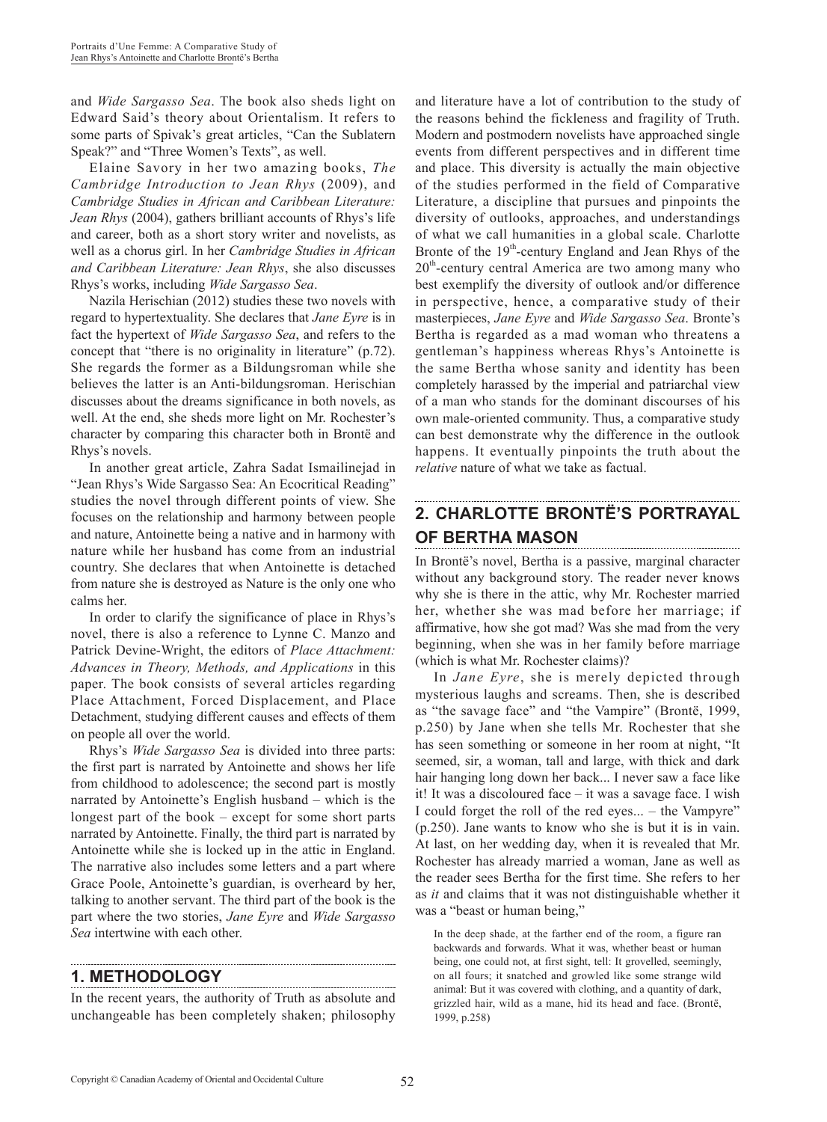and *Wide Sargasso Sea*. The book also sheds light on Edward Said's theory about Orientalism. It refers to some parts of Spivak's great articles, "Can the Sublatern Speak?" and "Three Women's Texts", as well.

Elaine Savory in her two amazing books, *The Cambridge Introduction to Jean Rhys* (2009), and *Cambridge Studies in African and Caribbean Literature: Jean Rhys* (2004), gathers brilliant accounts of Rhys's life and career, both as a short story writer and novelists, as well as a chorus girl. In her *Cambridge Studies in African and Caribbean Literature: Jean Rhys*, she also discusses Rhys's works, including *Wide Sargasso Sea*.

Nazila Herischian (2012) studies these two novels with regard to hypertextuality. She declares that *Jane Eyre* is in fact the hypertext of *Wide Sargasso Sea*, and refers to the concept that "there is no originality in literature" (p.72). She regards the former as a Bildungsroman while she believes the latter is an Anti-bildungsroman. Herischian discusses about the dreams significance in both novels, as well. At the end, she sheds more light on Mr. Rochester's character by comparing this character both in Brontë and Rhys's novels.

In another great article, Zahra Sadat Ismailinejad in "Jean Rhys's Wide Sargasso Sea: An Ecocritical Reading" studies the novel through different points of view. She focuses on the relationship and harmony between people and nature, Antoinette being a native and in harmony with nature while her husband has come from an industrial country. She declares that when Antoinette is detached from nature she is destroyed as Nature is the only one who calms her.

In order to clarify the significance of place in Rhys's novel, there is also a reference to Lynne C. Manzo and Patrick Devine-Wright, the editors of *Place Attachment: Advances in Theory, Methods, and Applications* in this paper. The book consists of several articles regarding Place Attachment, Forced Displacement, and Place Detachment, studying different causes and effects of them on people all over the world.

Rhys's *Wide Sargasso Sea* is divided into three parts: the first part is narrated by Antoinette and shows her life from childhood to adolescence; the second part is mostly narrated by Antoinette's English husband – which is the longest part of the book – except for some short parts narrated by Antoinette. Finally, the third part is narrated by Antoinette while she is locked up in the attic in England. The narrative also includes some letters and a part where Grace Poole, Antoinette's guardian, is overheard by her, talking to another servant. The third part of the book is the part where the two stories, *Jane Eyre* and *Wide Sargasso Sea* intertwine with each other.

## **1. METHODOLOGY**

In the recent years, the authority of Truth as absolute and unchangeable has been completely shaken; philosophy and literature have a lot of contribution to the study of the reasons behind the fickleness and fragility of Truth. Modern and postmodern novelists have approached single events from different perspectives and in different time and place. This diversity is actually the main objective of the studies performed in the field of Comparative Literature, a discipline that pursues and pinpoints the diversity of outlooks, approaches, and understandings of what we call humanities in a global scale. Charlotte Bronte of the  $19<sup>th</sup>$ -century England and Jean Rhys of the  $20<sup>th</sup>$ -century central America are two among many who best exemplify the diversity of outlook and/or difference in perspective, hence, a comparative study of their masterpieces, *Jane Eyre* and *Wide Sargasso Sea*. Bronte's Bertha is regarded as a mad woman who threatens a gentleman's happiness whereas Rhys's Antoinette is the same Bertha whose sanity and identity has been completely harassed by the imperial and patriarchal view of a man who stands for the dominant discourses of his own male-oriented community. Thus, a comparative study can best demonstrate why the difference in the outlook happens. It eventually pinpoints the truth about the *relative* nature of what we take as factual.

### **2. CHARLOTTE BRONTË'S PORTRAYAL OF BERTHA MASON**

In Brontë's novel, Bertha is a passive, marginal character without any background story. The reader never knows why she is there in the attic, why Mr. Rochester married her, whether she was mad before her marriage; if affirmative, how she got mad? Was she mad from the very beginning, when she was in her family before marriage (which is what Mr. Rochester claims)?

In *Jane Eyre*, she is merely depicted through mysterious laughs and screams. Then, she is described as "the savage face" and "the Vampire" (Brontë, 1999, p.250) by Jane when she tells Mr. Rochester that she has seen something or someone in her room at night, "It seemed, sir, a woman, tall and large, with thick and dark hair hanging long down her back... I never saw a face like it! It was a discoloured face – it was a savage face. I wish I could forget the roll of the red eyes... – the Vampyre" (p.250). Jane wants to know who she is but it is in vain. At last, on her wedding day, when it is revealed that Mr. Rochester has already married a woman, Jane as well as the reader sees Bertha for the first time. She refers to her as *it* and claims that it was not distinguishable whether it was a "beast or human being,"

In the deep shade, at the farther end of the room, a figure ran backwards and forwards. What it was, whether beast or human being, one could not, at first sight, tell: It grovelled, seemingly, on all fours; it snatched and growled like some strange wild animal: But it was covered with clothing, and a quantity of dark, grizzled hair, wild as a mane, hid its head and face. (Brontë, 1999, p.258)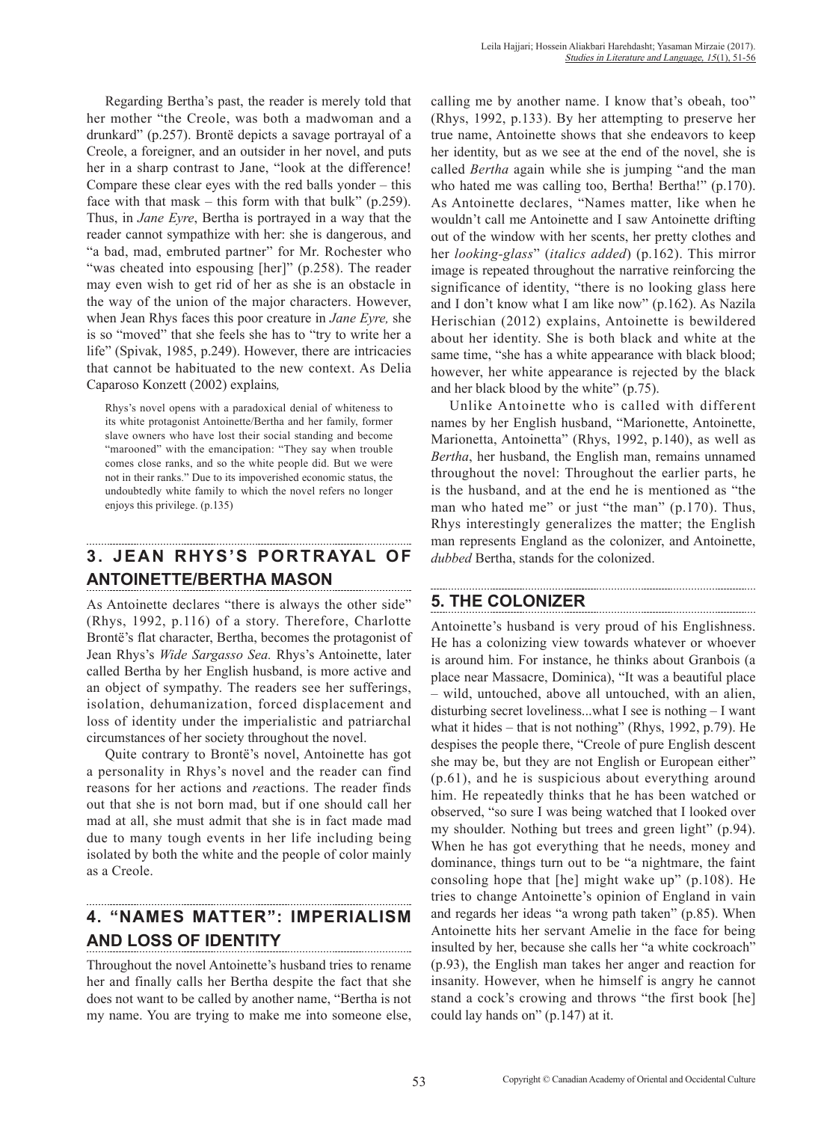Regarding Bertha's past, the reader is merely told that her mother "the Creole, was both a madwoman and a drunkard" (p.257). Brontë depicts a savage portrayal of a Creole, a foreigner, and an outsider in her novel, and puts her in a sharp contrast to Jane, "look at the difference! Compare these clear eyes with the red balls yonder – this face with that mask – this form with that bulk"  $(p.259)$ . Thus, in *Jane Eyre*, Bertha is portrayed in a way that the reader cannot sympathize with her: she is dangerous, and "a bad, mad, embruted partner" for Mr. Rochester who "was cheated into espousing [her]" (p.258). The reader may even wish to get rid of her as she is an obstacle in the way of the union of the major characters. However, when Jean Rhys faces this poor creature in *Jane Eyre,* she is so "moved" that she feels she has to "try to write her a life" (Spivak, 1985, p.249). However, there are intricacies that cannot be habituated to the new context. As Delia Caparoso Konzett (2002) explains*,*

Rhys's novel opens with a paradoxical denial of whiteness to its white protagonist Antoinette/Bertha and her family, former slave owners who have lost their social standing and become "marooned" with the emancipation: "They say when trouble comes close ranks, and so the white people did. But we were not in their ranks." Due to its impoverished economic status, the undoubtedly white family to which the novel refers no longer enjoys this privilege. (p.135)

# **3. JEAN RHYS'S PORTRAYAL OF ANTOINETTE/BERTHA MASON**

As Antoinette declares "there is always the other side" (Rhys, 1992, p.116) of a story. Therefore, Charlotte Brontë's flat character, Bertha, becomes the protagonist of Jean Rhys's *Wide Sargasso Sea.* Rhys's Antoinette, later called Bertha by her English husband, is more active and an object of sympathy. The readers see her sufferings, isolation, dehumanization, forced displacement and loss of identity under the imperialistic and patriarchal circumstances of her society throughout the novel.

Quite contrary to Brontë's novel, Antoinette has got a personality in Rhys's novel and the reader can find reasons for her actions and *re*actions. The reader finds out that she is not born mad, but if one should call her mad at all, she must admit that she is in fact made mad due to many tough events in her life including being isolated by both the white and the people of color mainly as a Creole.

# **4. "NAMES MATTER": IMPERIALISM AND LOSS OF IDENTITY**

Throughout the novel Antoinette's husband tries to rename her and finally calls her Bertha despite the fact that she does not want to be called by another name, "Bertha is not my name. You are trying to make me into someone else, calling me by another name. I know that's obeah, too" (Rhys, 1992, p.133). By her attempting to preserve her true name, Antoinette shows that she endeavors to keep her identity, but as we see at the end of the novel, she is called *Bertha* again while she is jumping "and the man who hated me was calling too, Bertha! Bertha!" (p.170). As Antoinette declares, "Names matter, like when he wouldn't call me Antoinette and I saw Antoinette drifting out of the window with her scents, her pretty clothes and her *looking-glass*" (*italics added*) (p.162). This mirror image is repeated throughout the narrative reinforcing the significance of identity, "there is no looking glass here and I don't know what I am like now" (p.162). As Nazila Herischian (2012) explains, Antoinette is bewildered about her identity. She is both black and white at the same time, "she has a white appearance with black blood; however, her white appearance is rejected by the black and her black blood by the white" (p.75).

Unlike Antoinette who is called with different names by her English husband, "Marionette, Antoinette, Marionetta, Antoinetta" (Rhys, 1992, p.140), as well as *Bertha*, her husband, the English man, remains unnamed throughout the novel: Throughout the earlier parts, he is the husband, and at the end he is mentioned as "the man who hated me" or just "the man" (p.170). Thus, Rhys interestingly generalizes the matter; the English man represents England as the colonizer, and Antoinette, *dubbed* Bertha, stands for the colonized.

## **5. THE COLONIZER**

Antoinette's husband is very proud of his Englishness. He has a colonizing view towards whatever or whoever is around him. For instance, he thinks about Granbois (a place near Massacre, Dominica), "It was a beautiful place – wild, untouched, above all untouched, with an alien, disturbing secret loveliness...what I see is nothing – I want what it hides – that is not nothing" (Rhys, 1992, p.79). He despises the people there, "Creole of pure English descent she may be, but they are not English or European either" (p.61), and he is suspicious about everything around him. He repeatedly thinks that he has been watched or observed, "so sure I was being watched that I looked over my shoulder. Nothing but trees and green light" (p.94). When he has got everything that he needs, money and dominance, things turn out to be "a nightmare, the faint consoling hope that [he] might wake up" (p.108). He tries to change Antoinette's opinion of England in vain and regards her ideas "a wrong path taken" (p.85). When Antoinette hits her servant Amelie in the face for being insulted by her, because she calls her "a white cockroach" (p.93), the English man takes her anger and reaction for insanity. However, when he himself is angry he cannot stand a cock's crowing and throws "the first book [he] could lay hands on" (p.147) at it.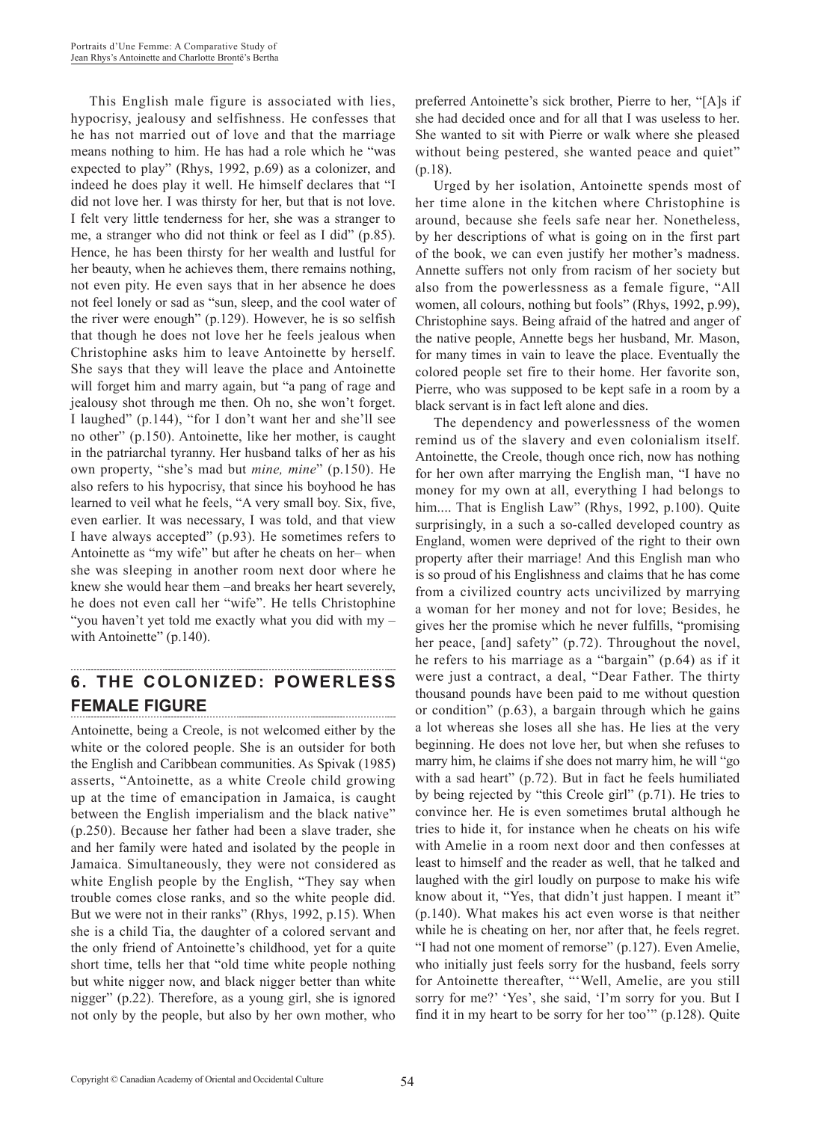This English male figure is associated with lies, hypocrisy, jealousy and selfishness. He confesses that he has not married out of love and that the marriage means nothing to him. He has had a role which he "was expected to play" (Rhys, 1992, p.69) as a colonizer, and indeed he does play it well. He himself declares that "I did not love her. I was thirsty for her, but that is not love. I felt very little tenderness for her, she was a stranger to me, a stranger who did not think or feel as I did" (p.85). Hence, he has been thirsty for her wealth and lustful for her beauty, when he achieves them, there remains nothing, not even pity. He even says that in her absence he does not feel lonely or sad as "sun, sleep, and the cool water of the river were enough" (p.129). However, he is so selfish that though he does not love her he feels jealous when Christophine asks him to leave Antoinette by herself. She says that they will leave the place and Antoinette will forget him and marry again, but "a pang of rage and jealousy shot through me then. Oh no, she won't forget. I laughed" (p.144), "for I don't want her and she'll see no other" (p.150). Antoinette, like her mother, is caught in the patriarchal tyranny. Her husband talks of her as his own property, "she's mad but *mine, mine*" (p.150). He also refers to his hypocrisy, that since his boyhood he has learned to veil what he feels, "A very small boy. Six, five, even earlier. It was necessary, I was told, and that view I have always accepted" (p.93). He sometimes refers to Antoinette as "my wife" but after he cheats on her– when she was sleeping in another room next door where he knew she would hear them –and breaks her heart severely, he does not even call her "wife". He tells Christophine "you haven't yet told me exactly what you did with my – with Antoinette" (p.140).

#### **6. THE COLONIZED: POWERLESS FEMALE FIGURE**

Antoinette, being a Creole, is not welcomed either by the white or the colored people. She is an outsider for both the English and Caribbean communities. As Spivak (1985) asserts, "Antoinette, as a white Creole child growing up at the time of emancipation in Jamaica, is caught between the English imperialism and the black native" (p.250). Because her father had been a slave trader, she and her family were hated and isolated by the people in Jamaica. Simultaneously, they were not considered as white English people by the English, "They say when trouble comes close ranks, and so the white people did. But we were not in their ranks" (Rhys, 1992, p.15). When she is a child Tia, the daughter of a colored servant and the only friend of Antoinette's childhood, yet for a quite short time, tells her that "old time white people nothing but white nigger now, and black nigger better than white nigger" (p.22). Therefore, as a young girl, she is ignored not only by the people, but also by her own mother, who

Urged by her isolation, Antoinette spends most of her time alone in the kitchen where Christophine is around, because she feels safe near her. Nonetheless, by her descriptions of what is going on in the first part of the book, we can even justify her mother's madness. Annette suffers not only from racism of her society but also from the powerlessness as a female figure, "All women, all colours, nothing but fools" (Rhys, 1992, p.99), Christophine says. Being afraid of the hatred and anger of the native people, Annette begs her husband, Mr. Mason, for many times in vain to leave the place. Eventually the colored people set fire to their home. Her favorite son, Pierre, who was supposed to be kept safe in a room by a black servant is in fact left alone and dies.

The dependency and powerlessness of the women remind us of the slavery and even colonialism itself. Antoinette, the Creole, though once rich, now has nothing for her own after marrying the English man, "I have no money for my own at all, everything I had belongs to him.... That is English Law" (Rhys, 1992, p.100). Quite surprisingly, in a such a so-called developed country as England, women were deprived of the right to their own property after their marriage! And this English man who is so proud of his Englishness and claims that he has come from a civilized country acts uncivilized by marrying a woman for her money and not for love; Besides, he gives her the promise which he never fulfills, "promising her peace, [and] safety" (p.72). Throughout the novel, he refers to his marriage as a "bargain" (p.64) as if it were just a contract, a deal, "Dear Father. The thirty thousand pounds have been paid to me without question or condition" (p.63), a bargain through which he gains a lot whereas she loses all she has. He lies at the very beginning. He does not love her, but when she refuses to marry him, he claims if she does not marry him, he will "go with a sad heart" (p.72). But in fact he feels humiliated by being rejected by "this Creole girl" (p.71). He tries to convince her. He is even sometimes brutal although he tries to hide it, for instance when he cheats on his wife with Amelie in a room next door and then confesses at least to himself and the reader as well, that he talked and laughed with the girl loudly on purpose to make his wife know about it, "Yes, that didn't just happen. I meant it" (p.140). What makes his act even worse is that neither while he is cheating on her, nor after that, he feels regret. "I had not one moment of remorse" (p.127). Even Amelie, who initially just feels sorry for the husband, feels sorry for Antoinette thereafter, "'Well, Amelie, are you still sorry for me?' 'Yes', she said, 'I'm sorry for you. But I find it in my heart to be sorry for her too'" (p.128). Quite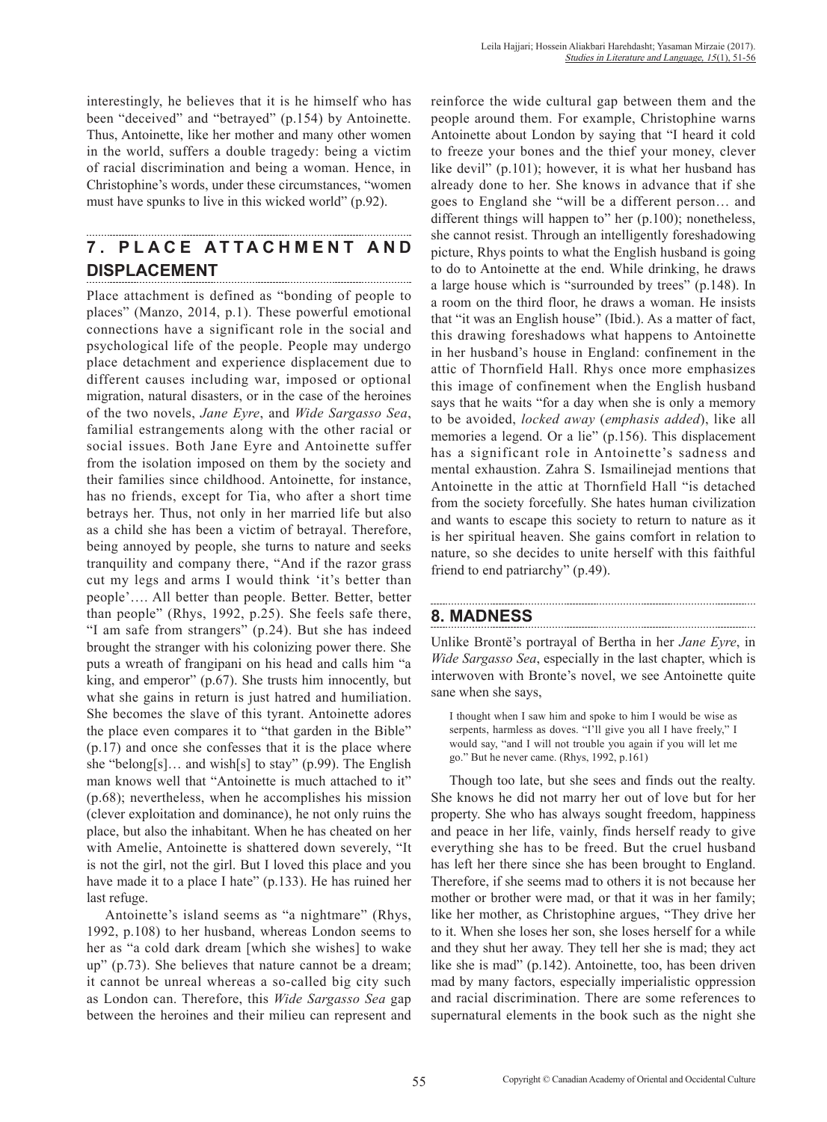interestingly, he believes that it is he himself who has been "deceived" and "betrayed" (p.154) by Antoinette. Thus, Antoinette, like her mother and many other women in the world, suffers a double tragedy: being a victim of racial discrimination and being a woman. Hence, in Christophine's words, under these circumstances, "women must have spunks to live in this wicked world" (p.92).

#### **7 . P L A C E A T T A C H M E N T A N D DISPLACEMENT**

Place attachment is defined as "bonding of people to places" (Manzo, 2014, p.1). These powerful emotional connections have a significant role in the social and psychological life of the people. People may undergo place detachment and experience displacement due to different causes including war, imposed or optional migration, natural disasters, or in the case of the heroines of the two novels, *Jane Eyre*, and *Wide Sargasso Sea*, familial estrangements along with the other racial or social issues. Both Jane Eyre and Antoinette suffer from the isolation imposed on them by the society and their families since childhood. Antoinette, for instance, has no friends, except for Tia, who after a short time betrays her. Thus, not only in her married life but also as a child she has been a victim of betrayal. Therefore, being annoyed by people, she turns to nature and seeks tranquility and company there, "And if the razor grass cut my legs and arms I would think 'it's better than people'…. All better than people. Better. Better, better than people" (Rhys, 1992, p.25). She feels safe there, "I am safe from strangers" (p.24). But she has indeed brought the stranger with his colonizing power there. She puts a wreath of frangipani on his head and calls him "a king, and emperor" (p.67). She trusts him innocently, but what she gains in return is just hatred and humiliation. She becomes the slave of this tyrant. Antoinette adores the place even compares it to "that garden in the Bible" (p.17) and once she confesses that it is the place where she "belong[s]… and wish[s] to stay" (p.99). The English man knows well that "Antoinette is much attached to it" (p.68); nevertheless, when he accomplishes his mission (clever exploitation and dominance), he not only ruins the place, but also the inhabitant. When he has cheated on her with Amelie, Antoinette is shattered down severely, "It is not the girl, not the girl. But I loved this place and you have made it to a place I hate" (p.133). He has ruined her last refuge.

Antoinette's island seems as "a nightmare" (Rhys, 1992, p.108) to her husband, whereas London seems to her as "a cold dark dream [which she wishes] to wake up" (p.73). She believes that nature cannot be a dream; it cannot be unreal whereas a so-called big city such as London can. Therefore, this *Wide Sargasso Sea* gap between the heroines and their milieu can represent and reinforce the wide cultural gap between them and the people around them. For example, Christophine warns Antoinette about London by saying that "I heard it cold to freeze your bones and the thief your money, clever like devil" (p.101); however, it is what her husband has already done to her. She knows in advance that if she goes to England she "will be a different person… and different things will happen to" her (p.100); nonetheless, she cannot resist. Through an intelligently foreshadowing picture, Rhys points to what the English husband is going to do to Antoinette at the end. While drinking, he draws a large house which is "surrounded by trees" (p.148). In a room on the third floor, he draws a woman. He insists that "it was an English house" (Ibid.). As a matter of fact, this drawing foreshadows what happens to Antoinette in her husband's house in England: confinement in the attic of Thornfield Hall. Rhys once more emphasizes this image of confinement when the English husband says that he waits "for a day when she is only a memory to be avoided, *locked away* (*emphasis added*), like all memories a legend. Or a lie" (p.156). This displacement has a significant role in Antoinette's sadness and mental exhaustion. Zahra S. Ismailinejad mentions that Antoinette in the attic at Thornfield Hall "is detached from the society forcefully. She hates human civilization and wants to escape this society to return to nature as it is her spiritual heaven. She gains comfort in relation to nature, so she decides to unite herself with this faithful friend to end patriarchy" (p.49).

# **8. MADNESS**

Unlike Brontë's portrayal of Bertha in her *Jane Eyre*, in *Wide Sargasso Sea*, especially in the last chapter, which is interwoven with Bronte's novel, we see Antoinette quite sane when she says,

I thought when I saw him and spoke to him I would be wise as serpents, harmless as doves. "I'll give you all I have freely," I would say, "and I will not trouble you again if you will let me go." But he never came. (Rhys, 1992, p.161)

Though too late, but she sees and finds out the realty. She knows he did not marry her out of love but for her property. She who has always sought freedom, happiness and peace in her life, vainly, finds herself ready to give everything she has to be freed. But the cruel husband has left her there since she has been brought to England. Therefore, if she seems mad to others it is not because her mother or brother were mad, or that it was in her family; like her mother, as Christophine argues, "They drive her to it. When she loses her son, she loses herself for a while and they shut her away. They tell her she is mad; they act like she is mad" (p.142). Antoinette, too, has been driven mad by many factors, especially imperialistic oppression and racial discrimination. There are some references to supernatural elements in the book such as the night she